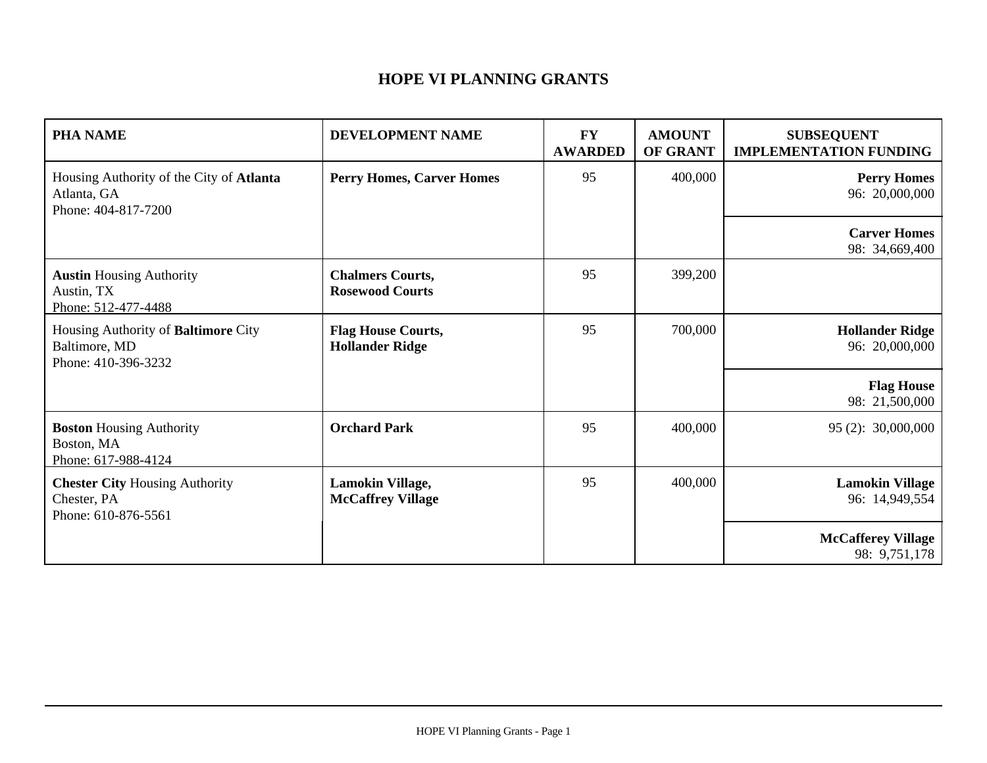## **HOPE VI PLANNING GRANTS**

| <b>PHA NAME</b>                                                                | DEVELOPMENT NAME                                    | <b>FY</b><br><b>AWARDED</b> | <b>AMOUNT</b><br>OF GRANT | <b>SUBSEQUENT</b><br><b>IMPLEMENTATION FUNDING</b> |
|--------------------------------------------------------------------------------|-----------------------------------------------------|-----------------------------|---------------------------|----------------------------------------------------|
| Housing Authority of the City of Atlanta<br>Atlanta, GA<br>Phone: 404-817-7200 | <b>Perry Homes, Carver Homes</b>                    | 95                          | 400,000                   | <b>Perry Homes</b><br>96: 20,000,000               |
|                                                                                |                                                     |                             |                           | <b>Carver Homes</b><br>98: 34,669,400              |
| <b>Austin Housing Authority</b><br>Austin, TX<br>Phone: 512-477-4488           | <b>Chalmers Courts,</b><br><b>Rosewood Courts</b>   | 95                          | 399,200                   |                                                    |
| Housing Authority of Baltimore City<br>Baltimore, MD<br>Phone: 410-396-3232    | <b>Flag House Courts,</b><br><b>Hollander Ridge</b> | 95                          | 700,000                   | <b>Hollander Ridge</b><br>96: 20,000,000           |
|                                                                                |                                                     |                             |                           | <b>Flag House</b><br>98: 21,500,000                |
| <b>Boston Housing Authority</b><br>Boston, MA<br>Phone: 617-988-4124           | <b>Orchard Park</b>                                 | 95                          | 400,000                   | 95 (2): 30,000,000                                 |
| <b>Chester City Housing Authority</b><br>Chester, PA<br>Phone: 610-876-5561    | Lamokin Village,<br><b>McCaffrey Village</b>        | 95                          | 400,000                   | <b>Lamokin Village</b><br>96: 14,949,554           |
|                                                                                |                                                     |                             |                           | <b>McCafferey Village</b><br>98: 9,751,178         |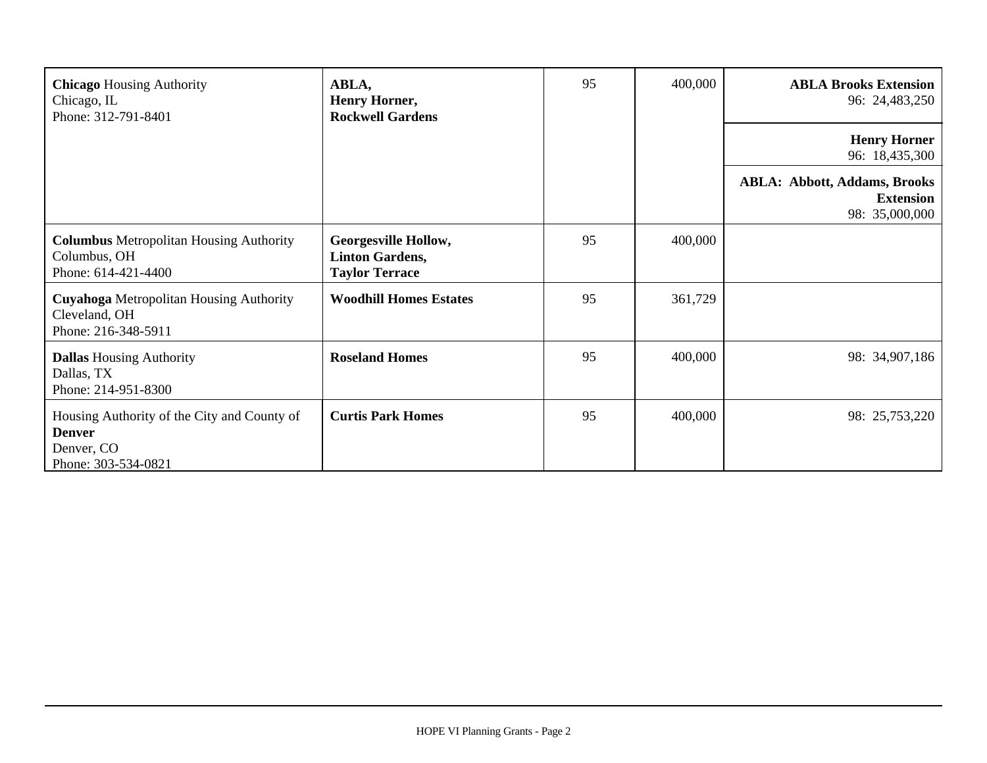| <b>Chicago Housing Authority</b><br>Chicago, IL<br>Phone: 312-791-8401                            | ABLA,<br>Henry Horner,<br><b>Rockwell Gardens</b>                              | 95 | 400,000 | <b>ABLA Brooks Extension</b><br>96: 24,483,250                            |
|---------------------------------------------------------------------------------------------------|--------------------------------------------------------------------------------|----|---------|---------------------------------------------------------------------------|
|                                                                                                   |                                                                                |    |         | <b>Henry Horner</b><br>96: 18,435,300                                     |
|                                                                                                   |                                                                                |    |         | <b>ABLA: Abbott, Addams, Brooks</b><br><b>Extension</b><br>98: 35,000,000 |
| <b>Columbus Metropolitan Housing Authority</b><br>Columbus, OH<br>Phone: 614-421-4400             | <b>Georgesville Hollow,</b><br><b>Linton Gardens,</b><br><b>Taylor Terrace</b> | 95 | 400,000 |                                                                           |
| <b>Cuyahoga</b> Metropolitan Housing Authority<br>Cleveland, OH<br>Phone: 216-348-5911            | <b>Woodhill Homes Estates</b>                                                  | 95 | 361,729 |                                                                           |
| <b>Dallas Housing Authority</b><br>Dallas, TX<br>Phone: 214-951-8300                              | <b>Roseland Homes</b>                                                          | 95 | 400,000 | 98: 34,907,186                                                            |
| Housing Authority of the City and County of<br><b>Denver</b><br>Denver, CO<br>Phone: 303-534-0821 | <b>Curtis Park Homes</b>                                                       | 95 | 400,000 | 98: 25,753,220                                                            |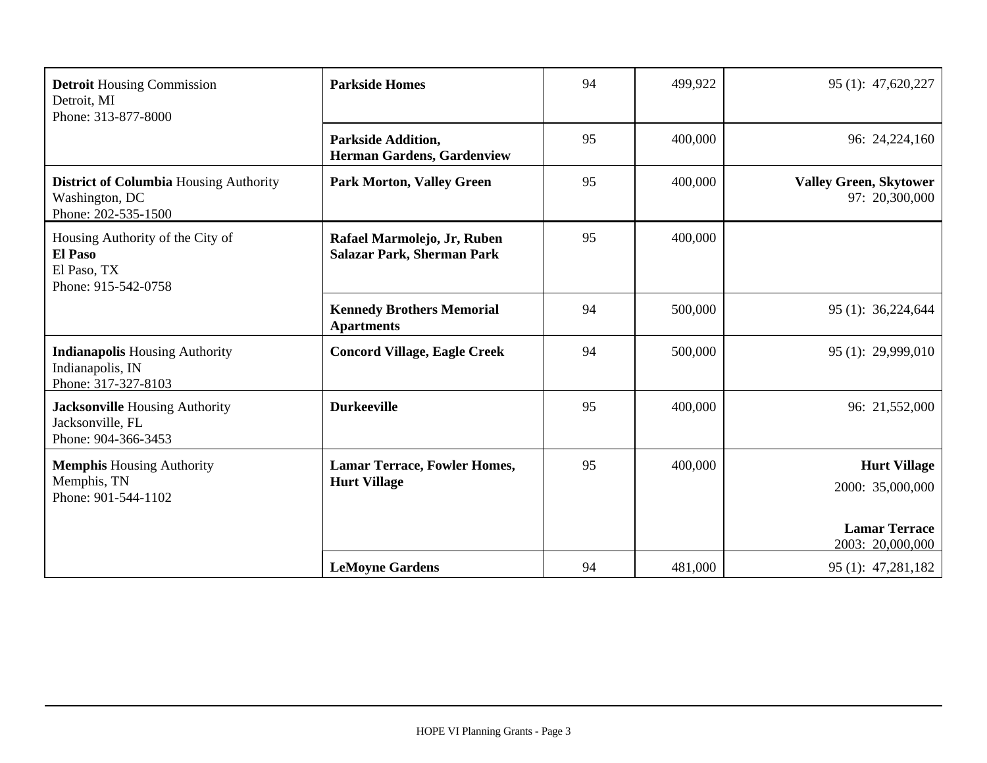| <b>Detroit Housing Commission</b><br>Detroit, MI<br>Phone: 313-877-8000                  | <b>Parkside Homes</b>                                            | 94 | 499,922 | 95 (1): 47,620,227                              |
|------------------------------------------------------------------------------------------|------------------------------------------------------------------|----|---------|-------------------------------------------------|
|                                                                                          | <b>Parkside Addition,</b><br>Herman Gardens, Gardenview          | 95 | 400,000 | 96: 24,224,160                                  |
| <b>District of Columbia Housing Authority</b><br>Washington, DC<br>Phone: 202-535-1500   | <b>Park Morton, Valley Green</b>                                 | 95 | 400,000 | <b>Valley Green, Skytower</b><br>97: 20,300,000 |
| Housing Authority of the City of<br><b>El Paso</b><br>El Paso, TX<br>Phone: 915-542-0758 | Rafael Marmolejo, Jr, Ruben<br><b>Salazar Park, Sherman Park</b> | 95 | 400,000 |                                                 |
|                                                                                          | <b>Kennedy Brothers Memorial</b><br><b>Apartments</b>            | 94 | 500,000 | 95 (1): 36,224,644                              |
| <b>Indianapolis Housing Authority</b><br>Indianapolis, IN<br>Phone: 317-327-8103         | <b>Concord Village, Eagle Creek</b>                              | 94 | 500,000 | 95 (1): 29,999,010                              |
| <b>Jacksonville Housing Authority</b><br>Jacksonville, FL<br>Phone: 904-366-3453         | <b>Durkeeville</b>                                               | 95 | 400,000 | 96: 21,552,000                                  |
| <b>Memphis Housing Authority</b><br>Memphis, TN<br>Phone: 901-544-1102                   | <b>Lamar Terrace, Fowler Homes,</b><br><b>Hurt Village</b>       | 95 | 400,000 | <b>Hurt Village</b><br>2000: 35,000,000         |
|                                                                                          |                                                                  |    |         | <b>Lamar Terrace</b><br>2003: 20,000,000        |
|                                                                                          | <b>LeMoyne Gardens</b>                                           | 94 | 481,000 | 95 (1): 47,281,182                              |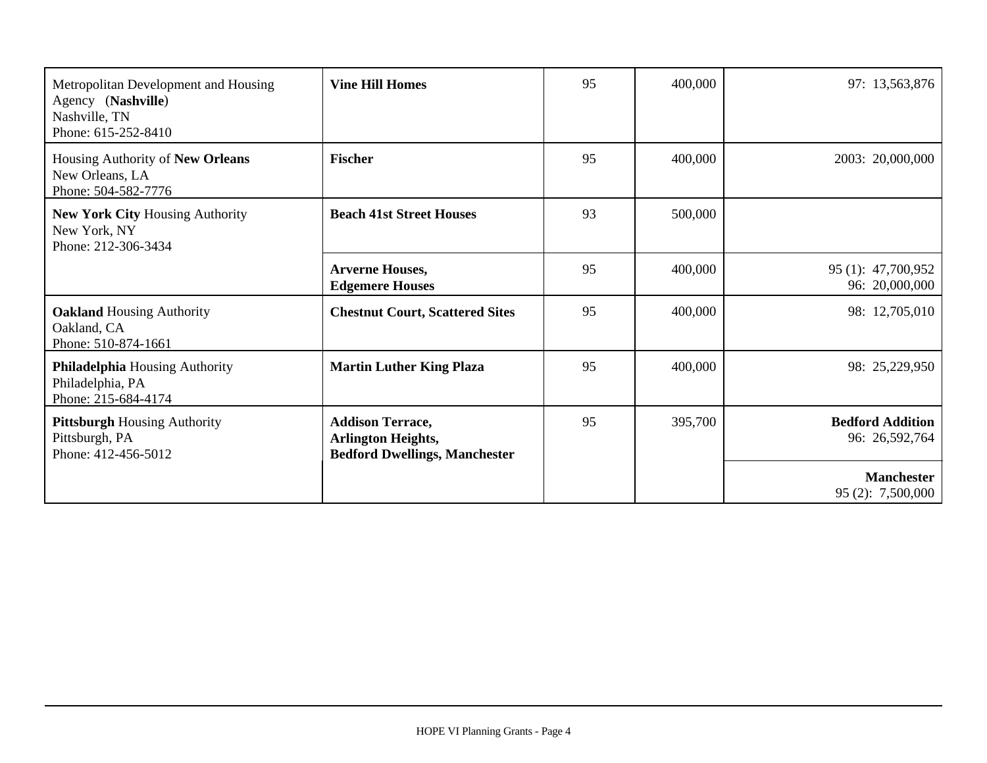| Metropolitan Development and Housing<br>Agency (Nashville)<br>Nashville, TN<br>Phone: 615-252-8410 | <b>Vine Hill Homes</b>                                                                       | 95 | 400,000 | 97: 13,563,876                            |
|----------------------------------------------------------------------------------------------------|----------------------------------------------------------------------------------------------|----|---------|-------------------------------------------|
| Housing Authority of New Orleans<br>New Orleans, LA<br>Phone: 504-582-7776                         | <b>Fischer</b>                                                                               | 95 | 400,000 | 2003: 20,000,000                          |
| <b>New York City Housing Authority</b><br>New York, NY<br>Phone: 212-306-3434                      | <b>Beach 41st Street Houses</b>                                                              | 93 | 500,000 |                                           |
|                                                                                                    | <b>Arverne Houses,</b><br><b>Edgemere Houses</b>                                             | 95 | 400,000 | 95 (1): 47,700,952<br>96: 20,000,000      |
| <b>Oakland Housing Authority</b><br>Oakland, CA<br>Phone: 510-874-1661                             | <b>Chestnut Court, Scattered Sites</b>                                                       | 95 | 400,000 | 98: 12,705,010                            |
| Philadelphia Housing Authority<br>Philadelphia, PA<br>Phone: 215-684-4174                          | <b>Martin Luther King Plaza</b>                                                              | 95 | 400,000 | 98: 25,229,950                            |
| <b>Pittsburgh Housing Authority</b><br>Pittsburgh, PA<br>Phone: 412-456-5012                       | <b>Addison Terrace,</b><br><b>Arlington Heights,</b><br><b>Bedford Dwellings, Manchester</b> | 95 | 395,700 | <b>Bedford Addition</b><br>96: 26,592,764 |
|                                                                                                    |                                                                                              |    |         | <b>Manchester</b><br>95(2): 7,500,000     |